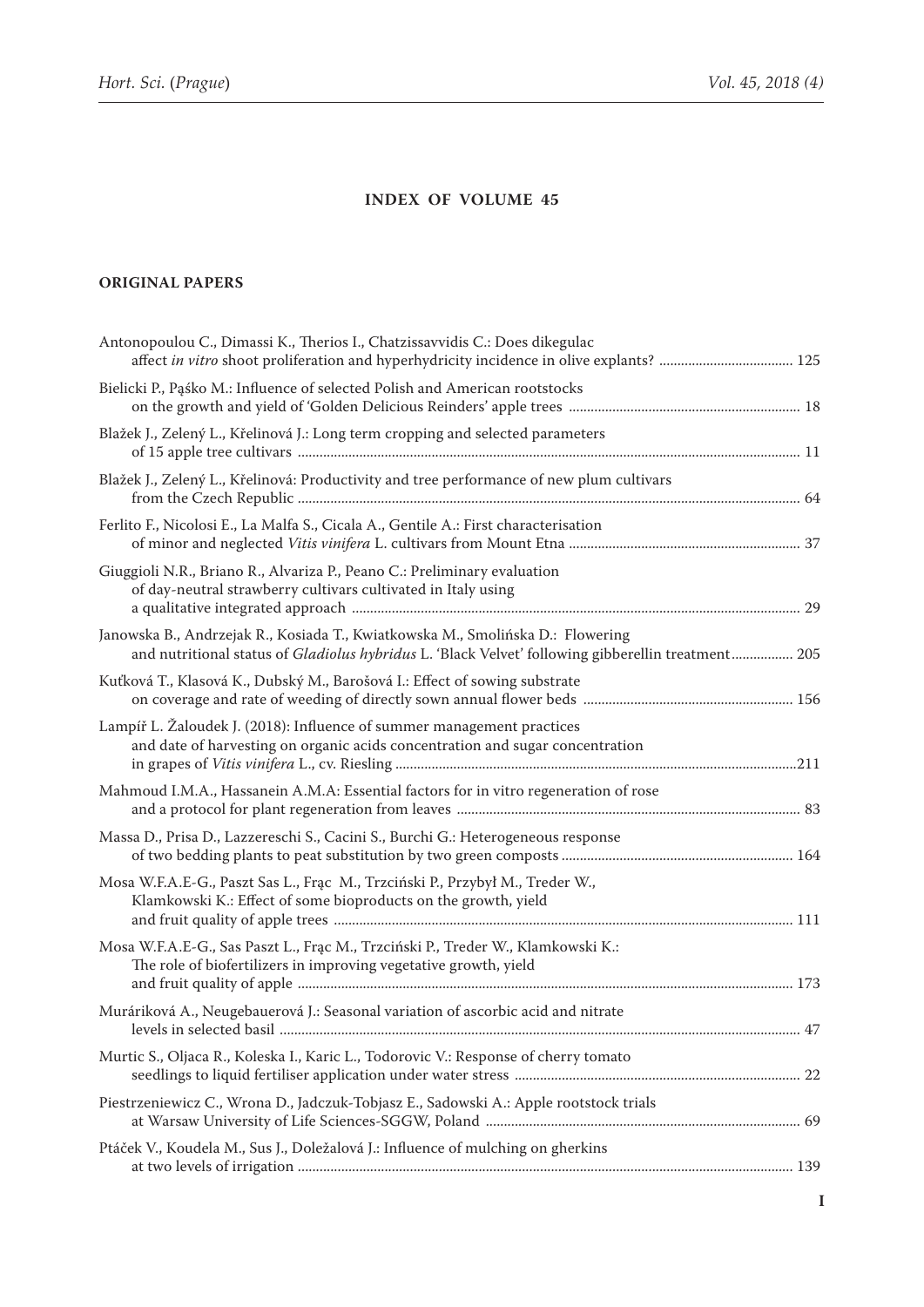## **INDEX OF VOLUME 45**

## **ORIGINAL PAPERS**

| and nutritional status of Gladiolus hybridus L. 'Black Velvet' following gibberellin treatment 205 |
|----------------------------------------------------------------------------------------------------|
|                                                                                                    |
|                                                                                                    |
|                                                                                                    |
|                                                                                                    |
|                                                                                                    |
|                                                                                                    |
|                                                                                                    |
|                                                                                                    |
|                                                                                                    |
|                                                                                                    |
|                                                                                                    |